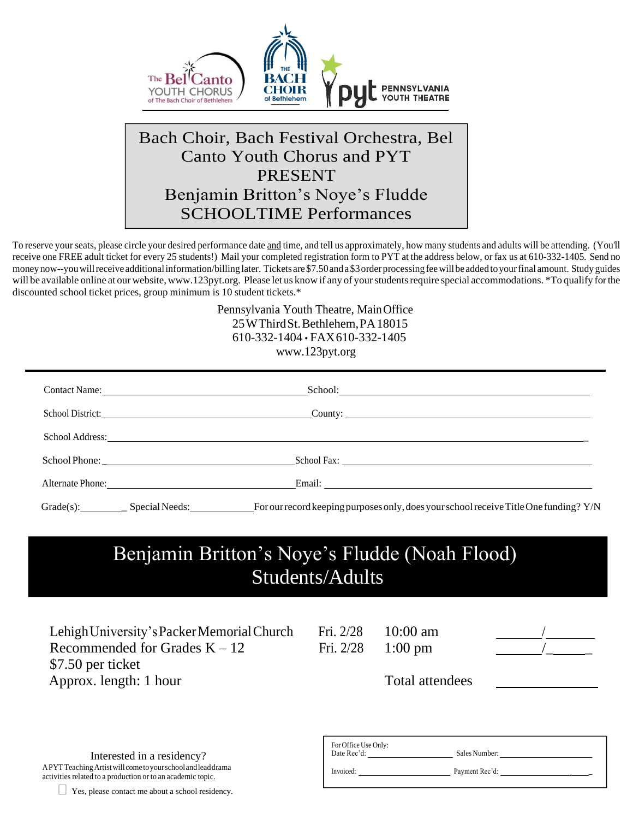

## Bach Choir, Bach Festival Orchestra, Bel Canto Youth Chorus and PYT PRESENT Benjamin Britton's Noye's Fludde SCHOOLTIME Performances

To reserve your seats, please circle your desired performance date and time, and tell us approximately, how many students and adults will be attending. (You'll receive one FREE adult ticket for every 25 students!) Mail your completed registration form to PYT at the address below, or fax us at 610-332-1405. Send no money now--you will receive additional information/billing later. Tickets are \$7.50 and a \$3 order processing fee will be added to your final amount. Study guides will be available online at our website, [www.123pyt.org.](http://www.123pyt.org/) Please let us know if any of your students require special accommodations. \*To qualify for the discounted school ticket prices, group minimum is 10 student tickets.\*

> Pennsylvania Youth Theatre, MainOffice 25WThirdSt.Bethlehem,PA18015 610-332-1404 • FAX610-332-1405 [www.123pyt.org](http://www.123pyt.org/)

| School: <u>School:</u> School: <b>School:</b> School: <b>School:</b> School: <b>School:</b> School: <b>School:</b> School: <b>School:</b> School: <b>School:</b> School: <b>School:</b> School: <b>School:</b> School: <b>School:</b> School: <b>School:</b> School: <b>School:</b> School |  |
|--------------------------------------------------------------------------------------------------------------------------------------------------------------------------------------------------------------------------------------------------------------------------------------------|--|
| School District: County: County: County: County: County: County: County: County: County: County: County: County: County: County: County: County: County: County: County: County: County: County: County: County: County: Count                                                             |  |
| School Address: New York Changes and School Address:                                                                                                                                                                                                                                       |  |
|                                                                                                                                                                                                                                                                                            |  |
| Alternate Phone: Email: Email: Email: Email: Email: Email: Email: Email: Email: Email: Email: Email: Email: Email: Email: Email: Email: Email: Email: Email: Email: Email: Email: Email: Email: Email: Email: Email: Email: Em                                                             |  |
| For our record keeping purposes only, does your school receive Title One funding? Y/N                                                                                                                                                                                                      |  |

## Benjamin Britton's Noye's Fludde (Noah Flood) Students/Adults

Lehigh University's Packer Memorial Church Fri. 2/28 10:00 am Recommended for Grades  $K - 12$  Fri. 2/28 1:00 pm \$7.50 per ticket Approx. length: 1 hour Total attendees

Interested in a residency? APYTTeachingArtistwill cometoyourschoolandleaddrama activities related to a production or to an academic topic.

| Yes, please contact me about a school residency. |  |  |  |  |  |  |
|--------------------------------------------------|--|--|--|--|--|--|
|--------------------------------------------------|--|--|--|--|--|--|

| For Office Use Only:<br>Date Rec'd: | Sales Number:  |
|-------------------------------------|----------------|
| Invoiced:                           | Payment Rec'd: |